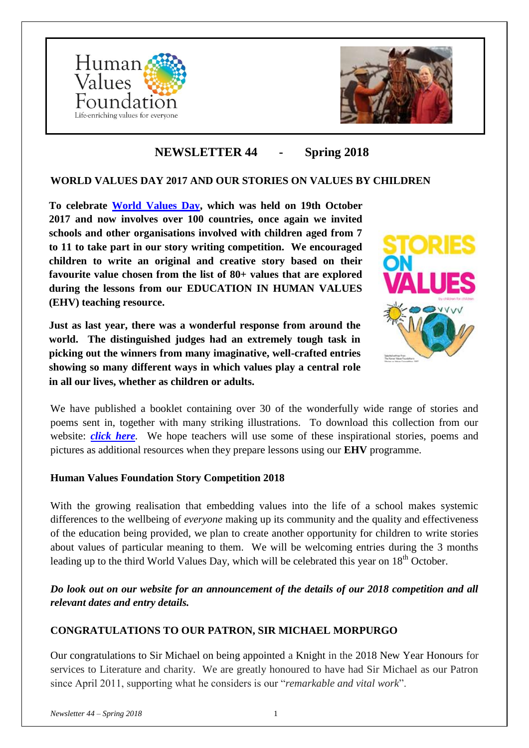



# **NEWSLETTER 44 - Spring 2018**

### **WORLD VALUES DAY 2017 AND OUR STORIES ON VALUES BY CHILDREN**

**To celebrate [World Values Day,](https://www.worldvaluesday.com/) which was held on 19th October 2017 and now involves over 100 countries, once again we invited schools and other organisations involved with children aged from 7 to 11 to take part in our story writing competition. We encouraged children to write an original and creative story based on their favourite value chosen from the list of 80+ values that are explored during the lessons from our EDUCATION IN HUMAN VALUES (EHV) teaching resource.**

**Just as last year, there was a wonderful response from around the world. The distinguished judges had an extremely tough task in picking out the winners from many imaginative, well-crafted entries showing so many different ways in which values play a central role in all our lives, whether as children or adults.**



We have published a booklet containing over 30 of the wonderfully wide range of stories and poems sent in, together with many striking illustrations. To download this collection from our website: *[click here](http://www.humanvaluesfoundation.com/uploads/6/8/7/0/68703775/hvf-stories_on_values_by_children-2017_book.pdf).* We hope teachers will use some of these inspirational stories, poems and pictures as additional resources when they prepare lessons using our **EHV** programme.

### **Human Values Foundation Story Competition 2018**

With the growing realisation that embedding values into the life of a school makes systemic differences to the wellbeing of *everyone* making up its community and the quality and effectiveness of the education being provided, we plan to create another opportunity for children to write stories about values of particular meaning to them. We will be welcoming entries during the 3 months leading up to the third World Values Day, which will be celebrated this year on 18<sup>th</sup> October.

*Do look out on our website for an announcement of the details of our 2018 competition and all relevant dates and entry details.*

# **CONGRATULATIONS TO OUR PATRON, SIR MICHAEL MORPURGO**

Our congratulations to Sir Michael on being appointed a Knight in the 2018 New Year Honours for services to Literature and charity. We are greatly honoured to have had Sir Michael as our Patron since April 2011, supporting what he considers is our "*remarkable and vital work*".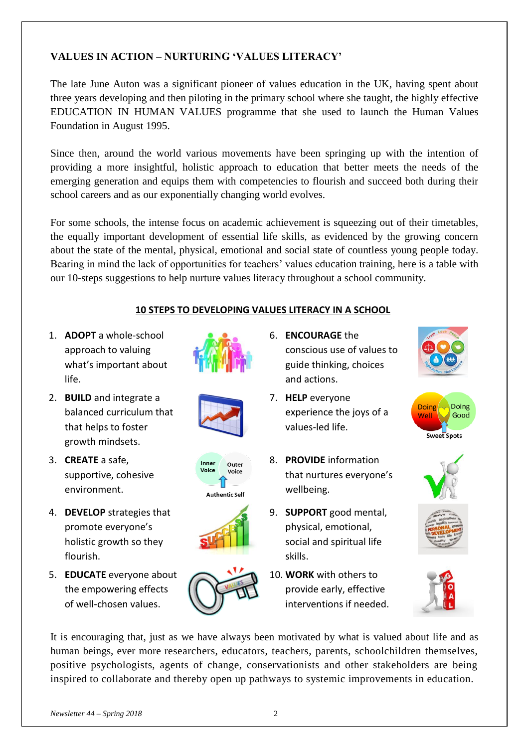# **VALUES IN ACTION – NURTURING 'VALUES LITERACY'**

The late June Auton was a significant pioneer of values education in the UK, having spent about three years developing and then piloting in the primary school where she taught, the highly effective EDUCATION IN HUMAN VALUES programme that she used to launch the Human Values Foundation in August 1995.

Since then, around the world various movements have been springing up with the intention of providing a more insightful, holistic approach to education that better meets the needs of the emerging generation and equips them with competencies to flourish and succeed both during their school careers and as our exponentially changing world evolves.

For some schools, the intense focus on academic achievement is squeezing out of their timetables, the equally important development of essential life skills, as evidenced by the growing concern about the state of the mental, physical, emotional and social state of countless young people today. Bearing in mind the lack of opportunities for teachers' values education training, here is a table with our 10-steps suggestions to help nurture values literacy throughout a school community.

### **10 STEPS TO DEVELOPING VALUES LITERACY IN A SCHOOL**

1. **ADOPT** a whole-school approach to valuing what's important about life.



Inner

Voice

Outer

Voice

**Authentic Self** 

- 2. **BUILD** and integrate a balanced curriculum that that helps to foster growth mindsets.
- 3. **CREATE** a safe, supportive, cohesive environment.
- 4. **DEVELOP** strategies that promote everyone's holistic growth so they flourish.
- 5. **EDUCATE** everyone about the empowering effects of well-chosen values.



- 7. **HELP** everyone experience the joys of a values-led life.
- 8. **PROVIDE** information that nurtures everyone's wellbeing.
- 9. **SUPPORT** good mental, physical, emotional, social and spiritual life skills.
- 10. **WORK** with others to provide early, effective interventions if needed.











It is encouraging that, just as we have always been motivated by what is valued about life and as human beings, ever more researchers, educators, teachers, parents, schoolchildren themselves, positive psychologists, agents of change, conservationists and other stakeholders are being inspired to collaborate and thereby open up pathways to systemic improvements in education.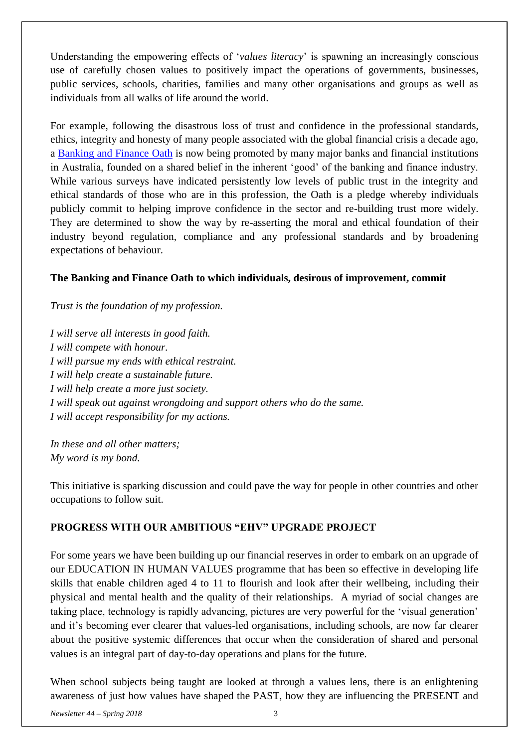Understanding the empowering effects of '*values literacy*' is spawning an increasingly conscious use of carefully chosen values to positively impact the operations of governments, businesses, public services, schools, charities, families and many other organisations and groups as well as individuals from all walks of life around the world.

For example, following the disastrous loss of trust and confidence in the professional standards, ethics, integrity and honesty of many people associated with the global financial crisis a decade ago, a [Banking and Finance Oath](http://www.thebfo.org/The-Oath) is now being promoted by many major banks and financial institutions in Australia, founded on a shared belief in the inherent 'good' of the banking and finance industry. While various surveys have indicated persistently low levels of public trust in the integrity and ethical standards of those who are in this profession, the Oath is a pledge whereby individuals publicly commit to helping improve confidence in the sector and re-building trust more widely. They are determined to show the way by re-asserting the moral and ethical foundation of their industry beyond regulation, compliance and any professional standards and by broadening expectations of behaviour.

### **The Banking and Finance Oath to which individuals, desirous of improvement, commit**

#### *Trust is the foundation of my profession.*

*I will serve all interests in good faith. I will compete with honour. I will pursue my ends with ethical restraint. I will help create a sustainable future. I will help create a more just society. I will speak out against wrongdoing and support others who do the same. I will accept responsibility for my actions.*

*In these and all other matters; My word is my bond.*

This initiative is sparking discussion and could pave the way for people in other countries and other occupations to follow suit.

### **PROGRESS WITH OUR AMBITIOUS "EHV" UPGRADE PROJECT**

For some years we have been building up our financial reserves in order to embark on an upgrade of our EDUCATION IN HUMAN VALUES programme that has been so effective in developing life skills that enable children aged 4 to 11 to flourish and look after their wellbeing, including their physical and mental health and the quality of their relationships. A myriad of social changes are taking place, technology is rapidly advancing, pictures are very powerful for the 'visual generation' and it's becoming ever clearer that values-led organisations, including schools, are now far clearer about the positive systemic differences that occur when the consideration of shared and personal values is an integral part of day-to-day operations and plans for the future.

When school subjects being taught are looked at through a values lens, there is an enlightening awareness of just how values have shaped the PAST, how they are influencing the PRESENT and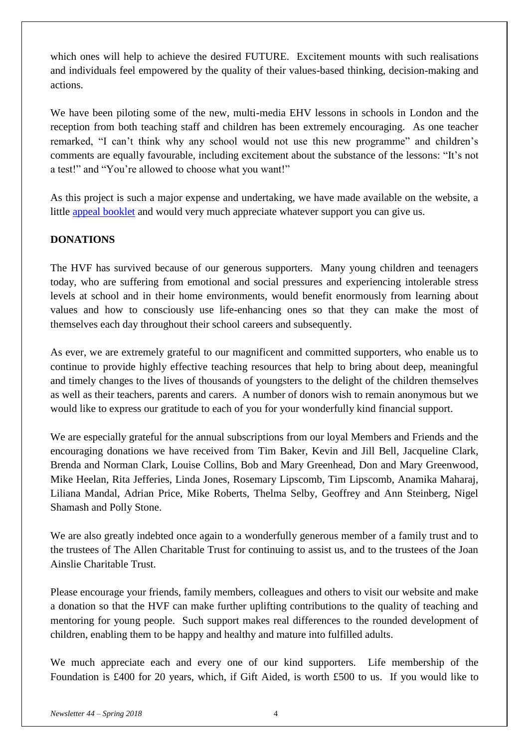which ones will help to achieve the desired FUTURE. Excitement mounts with such realisations and individuals feel empowered by the quality of their values-based thinking, decision-making and actions.

We have been piloting some of the new, multi-media EHV lessons in schools in London and the reception from both teaching staff and children has been extremely encouraging. As one teacher remarked, "I can't think why any school would not use this new programme" and children's comments are equally favourable, including excitement about the substance of the lessons: "It's not a test!" and "You're allowed to choose what you want!"

As this project is such a major expense and undertaking, we have made available on the website, a little [appeal booklet](http://www.humanvaluesfoundation.com/uploads/6/8/7/0/68703775/hvf-appeal_to_upgrade_ehv.pdf) and would very much appreciate whatever support you can give us.

## **DONATIONS**

The HVF has survived because of our generous supporters. Many young children and teenagers today, who are suffering from emotional and social pressures and experiencing intolerable stress levels at school and in their home environments, would benefit enormously from learning about values and how to consciously use life-enhancing ones so that they can make the most of themselves each day throughout their school careers and subsequently.

As ever, we are extremely grateful to our magnificent and committed supporters, who enable us to continue to provide highly effective teaching resources that help to bring about deep, meaningful and timely changes to the lives of thousands of youngsters to the delight of the children themselves as well as their teachers, parents and carers. A number of donors wish to remain anonymous but we would like to express our gratitude to each of you for your wonderfully kind financial support.

We are especially grateful for the annual subscriptions from our loyal Members and Friends and the encouraging donations we have received from Tim Baker, Kevin and Jill Bell, Jacqueline Clark, Brenda and Norman Clark, Louise Collins, Bob and Mary Greenhead, Don and Mary Greenwood, Mike Heelan, Rita Jefferies, Linda Jones, Rosemary Lipscomb, Tim Lipscomb, Anamika Maharaj, Liliana Mandal, Adrian Price, Mike Roberts, Thelma Selby, Geoffrey and Ann Steinberg, Nigel Shamash and Polly Stone.

We are also greatly indebted once again to a wonderfully generous member of a family trust and to the trustees of The Allen Charitable Trust for continuing to assist us, and to the trustees of the Joan Ainslie Charitable Trust.

Please encourage your friends, family members, colleagues and others to visit our website and make a donation so that the HVF can make further uplifting contributions to the quality of teaching and mentoring for young people. Such support makes real differences to the rounded development of children, enabling them to be happy and healthy and mature into fulfilled adults.

We much appreciate each and every one of our kind supporters. Life membership of the Foundation is £400 for 20 years, which, if Gift Aided, is worth £500 to us. If you would like to